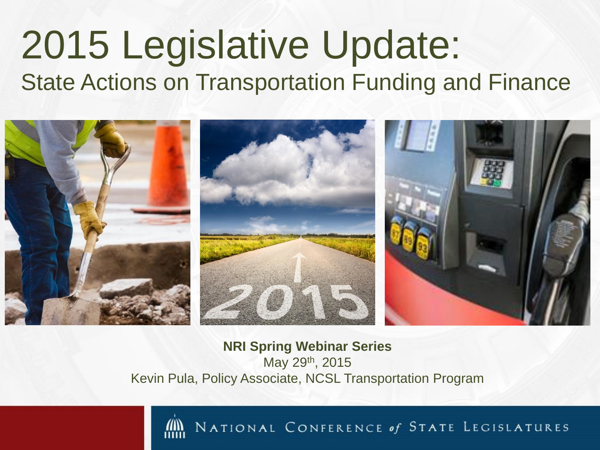#### 2015 Legislative Update: State Actions on Transportation Funding and Finance



**NRI Spring Webinar Series** May 29th, 2015 Kevin Pula, Policy Associate, NCSL Transportation Program

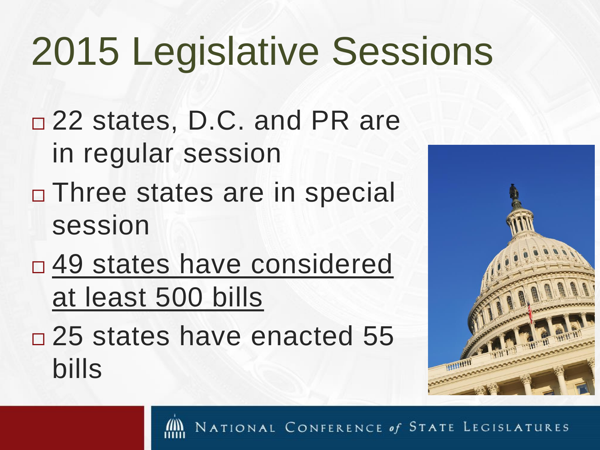## 2015 Legislative Sessions

- □ 22 states, D.C. and PR are in regular session
- □ Three states are in special session
- □ 49 states have considered at least 500 bills
- □ 25 states have enacted 55 bills

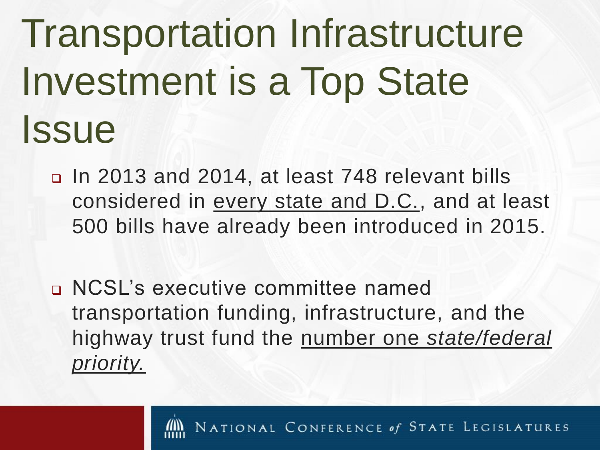# Transportation Infrastructure Investment is a Top State **Issue**

- In 2013 and 2014, at least 748 relevant bills considered in every state and D.C., and at least 500 bills have already been introduced in 2015.
- NCSL's executive committee named transportation funding, infrastructure, and the highway trust fund the number one *state/federal priority.*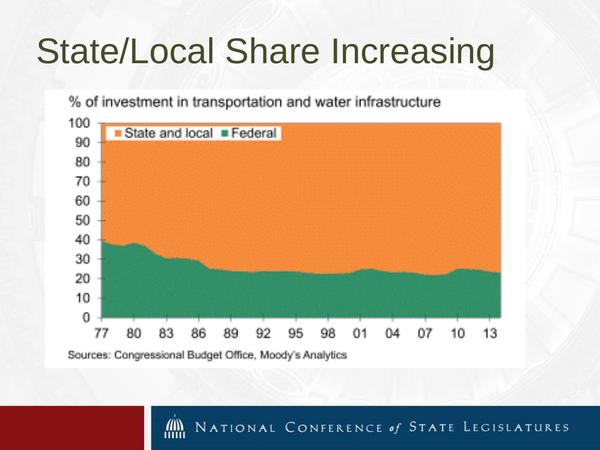#### State/Local Share Increasing

% of investment in transportation and water infrastructure



Sources: Congressional Budget Office, Moody's Analytics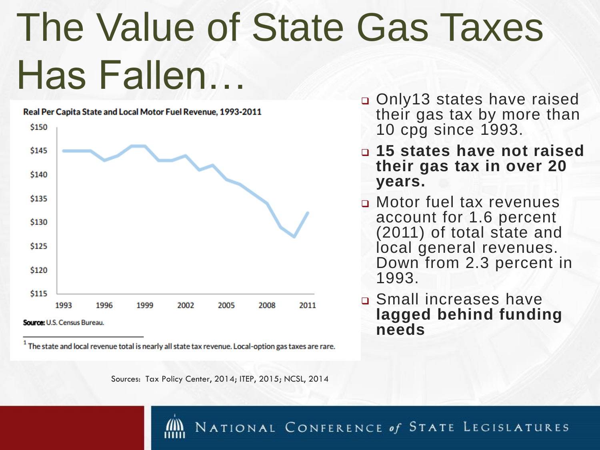# The Value of State Gas Taxes Has Fallen…



Real Per Capita State and Local Motor Fuel Revenue, 1993-2011

Source: U.S. Census Bureau.

<sup>1</sup> The state and local revenue total is nearly all state tax revenue. Local-option gas taxes are rare.

- Only13 states have raised their gas tax by more than 10 cpg since 1993.
- **15 states have not raised their gas tax in over 20 years.**
- Motor fuel tax revenues account for 1.6 percent (2011) of total state and local general revenues. Down from 2.3 percent in 1993.
- Small increases have **lagged behind funding needs**

Sources: Tax Policy Center, 2014; ITEP, 2015; NCSL, 2014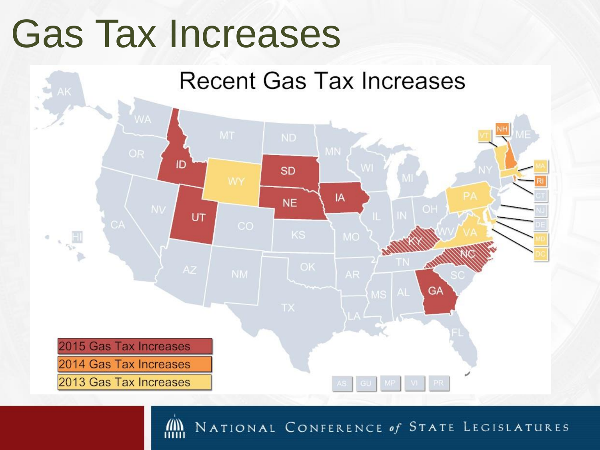#### Gas Tax Increases

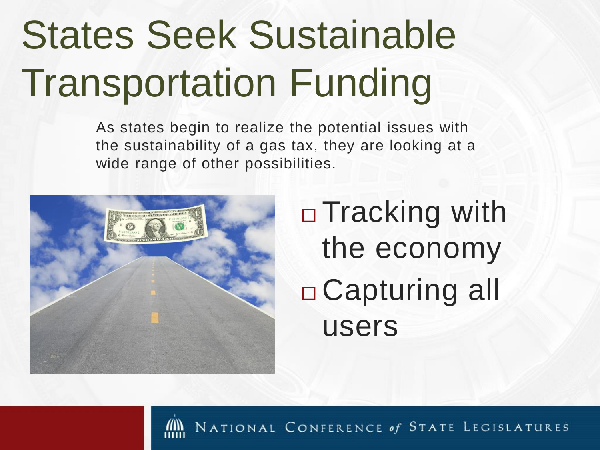# States Seek Sustainable Transportation Funding

As states begin to realize the potential issues with the sustainability of a gas tax, they are looking at a wide range of other possibilities.



□ Tracking with the economy Capturing all users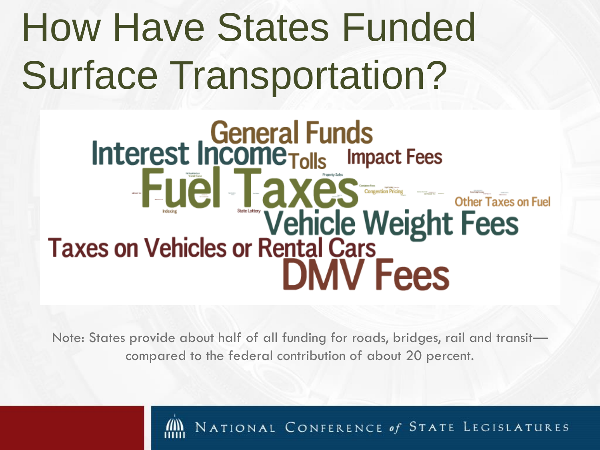## How Have States Funded Surface Transportation?

# General Funds<br>
Interest Income Tolls Impact Fees<br>
FUEL Taxes — other Taxes on Vehicles or Rental Cars **DMV** Fees

Note: States provide about half of all funding for roads, bridges, rail and transit compared to the federal contribution of about 20 percent.

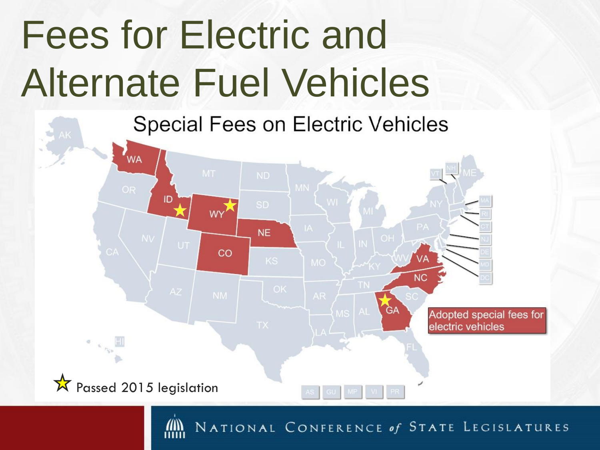# Fees for Electric and Alternate Fuel Vehicles

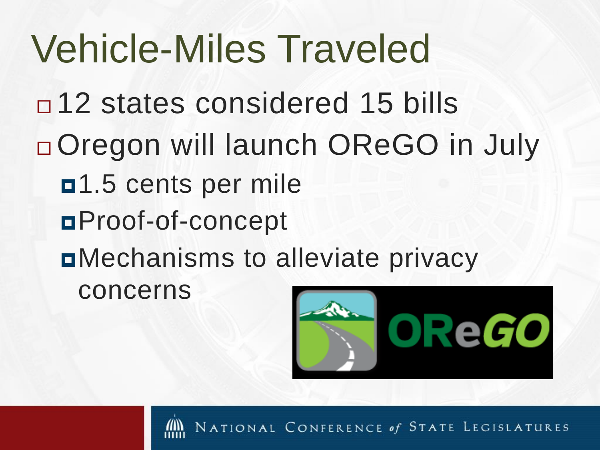Vehicle-Miles Traveled □ 12 states considered 15 bills □ Oregon will launch OReGO in July n<sup>1.5</sup> cents per mile Proof-of-concept Mechanisms to alleviate privacy concerns



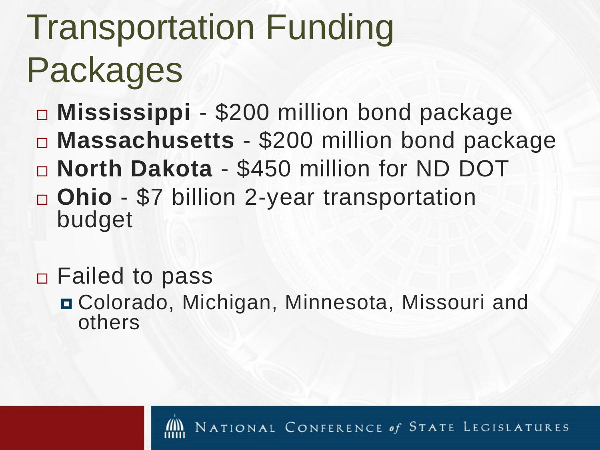#### Transportation Funding Packages

- **Mississippi** \$200 million bond package **Massachusetts** - \$200 million bond package
- **North Dakota** \$450 million for ND DOT
- **Ohio** \$7 billion 2-year transportation budget
- Failed to pass
	- Colorado, Michigan, Minnesota, Missouri and others